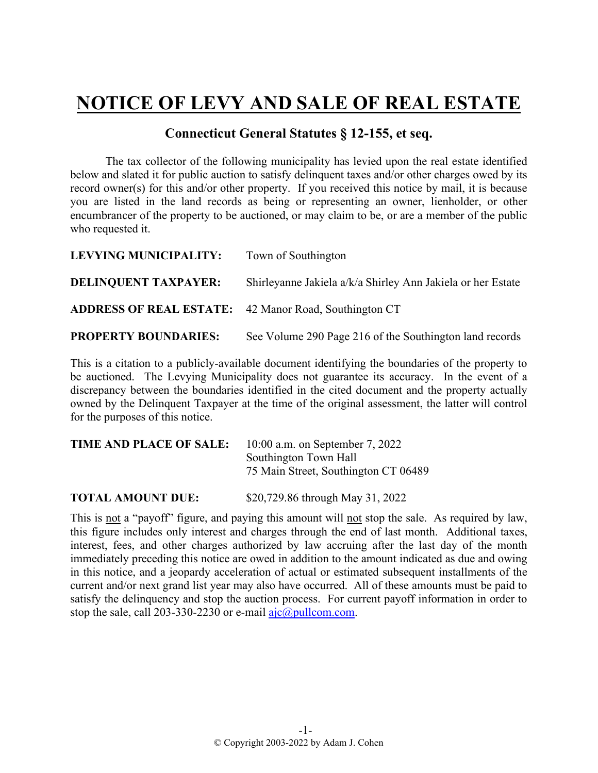## **NOTICE OF LEVY AND SALE OF REAL ESTATE**

## **Connecticut General Statutes § 12-155, et seq.**

The tax collector of the following municipality has levied upon the real estate identified below and slated it for public auction to satisfy delinquent taxes and/or other charges owed by its record owner(s) for this and/or other property. If you received this notice by mail, it is because you are listed in the land records as being or representing an owner, lienholder, or other encumbrancer of the property to be auctioned, or may claim to be, or are a member of the public who requested it.

| LEVYING MUNICIPALITY:                                        | Town of Southington                                         |
|--------------------------------------------------------------|-------------------------------------------------------------|
| <b>DELINQUENT TAXPAYER:</b>                                  | Shirleyanne Jakiela a/k/a Shirley Ann Jakiela or her Estate |
| <b>ADDRESS OF REAL ESTATE:</b> 42 Manor Road, Southington CT |                                                             |
| <b>PROPERTY BOUNDARIES:</b>                                  | See Volume 290 Page 216 of the Southington land records     |

This is a citation to a publicly-available document identifying the boundaries of the property to be auctioned. The Levying Municipality does not guarantee its accuracy. In the event of a discrepancy between the boundaries identified in the cited document and the property actually owned by the Delinquent Taxpayer at the time of the original assessment, the latter will control for the purposes of this notice.

| TIME AND PLACE OF SALE: | $10:00$ a.m. on September 7, 2022    |
|-------------------------|--------------------------------------|
|                         | Southington Town Hall                |
|                         | 75 Main Street, Southington CT 06489 |
|                         |                                      |

**TOTAL AMOUNT DUE:** \$20,729.86 through May 31, 2022

This is not a "payoff" figure, and paying this amount will not stop the sale. As required by law, this figure includes only interest and charges through the end of last month. Additional taxes, interest, fees, and other charges authorized by law accruing after the last day of the month immediately preceding this notice are owed in addition to the amount indicated as due and owing in this notice, and a jeopardy acceleration of actual or estimated subsequent installments of the current and/or next grand list year may also have occurred. All of these amounts must be paid to satisfy the delinquency and stop the auction process. For current payoff information in order to stop the sale, call 203-330-2230 or e-mail  $a$ jc $@p$ ullcom.com.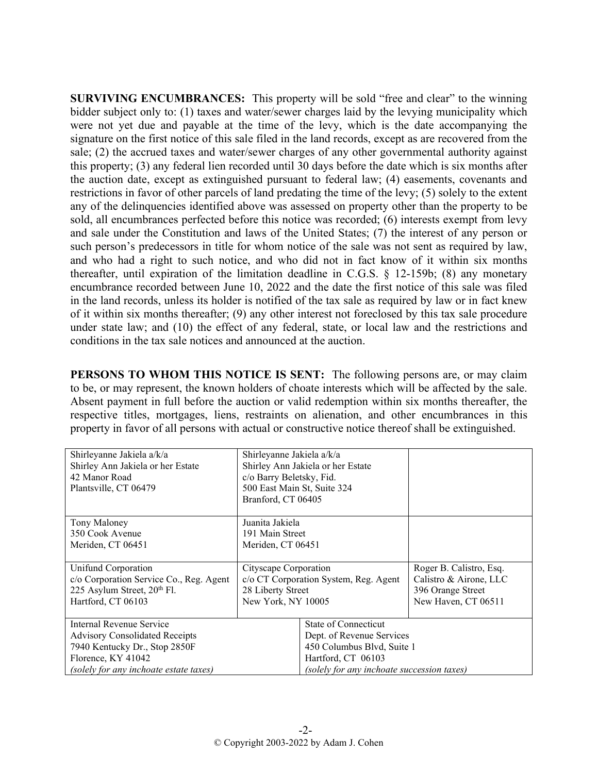**SURVIVING ENCUMBRANCES:** This property will be sold "free and clear" to the winning bidder subject only to: (1) taxes and water/sewer charges laid by the levying municipality which were not yet due and payable at the time of the levy, which is the date accompanying the signature on the first notice of this sale filed in the land records, except as are recovered from the sale; (2) the accrued taxes and water/sewer charges of any other governmental authority against this property; (3) any federal lien recorded until 30 days before the date which is six months after the auction date, except as extinguished pursuant to federal law; (4) easements, covenants and restrictions in favor of other parcels of land predating the time of the levy; (5) solely to the extent any of the delinquencies identified above was assessed on property other than the property to be sold, all encumbrances perfected before this notice was recorded; (6) interests exempt from levy and sale under the Constitution and laws of the United States; (7) the interest of any person or such person's predecessors in title for whom notice of the sale was not sent as required by law, and who had a right to such notice, and who did not in fact know of it within six months thereafter, until expiration of the limitation deadline in C.G.S. § 12-159b; (8) any monetary encumbrance recorded between June 10, 2022 and the date the first notice of this sale was filed in the land records, unless its holder is notified of the tax sale as required by law or in fact knew of it within six months thereafter; (9) any other interest not foreclosed by this tax sale procedure under state law; and (10) the effect of any federal, state, or local law and the restrictions and conditions in the tax sale notices and announced at the auction.

**PERSONS TO WHOM THIS NOTICE IS SENT:** The following persons are, or may claim to be, or may represent, the known holders of choate interests which will be affected by the sale. Absent payment in full before the auction or valid redemption within six months thereafter, the respective titles, mortgages, liens, restraints on alienation, and other encumbrances in this property in favor of all persons with actual or constructive notice thereof shall be extinguished.

| Shirleyanne Jakiela a/k/a               | Shirleyanne Jakiela a/k/a             |                                            |                         |
|-----------------------------------------|---------------------------------------|--------------------------------------------|-------------------------|
| Shirley Ann Jakiela or her Estate       |                                       | Shirley Ann Jakiela or her Estate          |                         |
| 42 Manor Road                           | c/o Barry Beletsky, Fid.              |                                            |                         |
| Plantsville, CT 06479                   | 500 East Main St, Suite 324           |                                            |                         |
|                                         | Branford, CT 06405                    |                                            |                         |
|                                         |                                       |                                            |                         |
| Tony Maloney                            | Juanita Jakiela                       |                                            |                         |
| 350 Cook Avenue                         | 191 Main Street                       |                                            |                         |
| Meriden, CT 06451                       | Meriden, CT 06451                     |                                            |                         |
|                                         |                                       |                                            |                         |
| Unifund Corporation                     | Cityscape Corporation                 |                                            | Roger B. Calistro, Esq. |
| c/o Corporation Service Co., Reg. Agent | c/o CT Corporation System, Reg. Agent |                                            | Calistro & Airone, LLC  |
| 225 Asylum Street, 20 <sup>th</sup> Fl. | 28 Liberty Street                     |                                            | 396 Orange Street       |
| Hartford, CT 06103                      | New York, NY 10005                    |                                            | New Haven, CT 06511     |
|                                         |                                       |                                            |                         |
| Internal Revenue Service                |                                       | State of Connecticut                       |                         |
| <b>Advisory Consolidated Receipts</b>   |                                       | Dept. of Revenue Services                  |                         |
| 7940 Kentucky Dr., Stop 2850F           |                                       | 450 Columbus Blvd, Suite 1                 |                         |
| Florence, KY 41042                      |                                       | Hartford, CT 06103                         |                         |
| (solely for any inchoate estate taxes)  |                                       | (solely for any inchoate succession taxes) |                         |